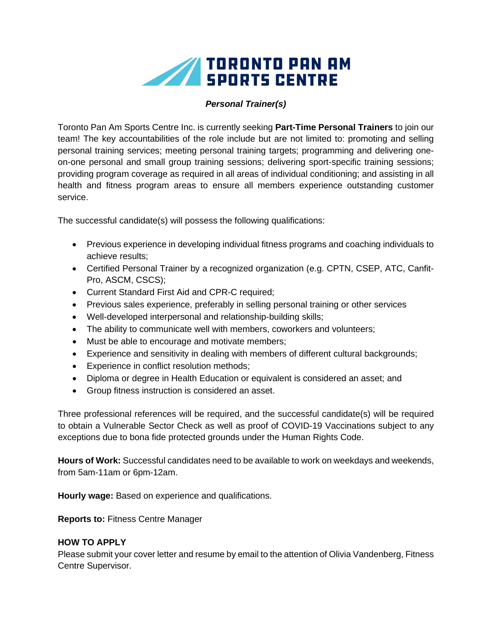

## *Personal Trainer(s)*

Toronto Pan Am Sports Centre Inc. is currently seeking **Part-Time Personal Trainers** to join our team! The key accountabilities of the role include but are not limited to: promoting and selling personal training services; meeting personal training targets; programming and delivering oneon-one personal and small group training sessions; delivering sport-specific training sessions; providing program coverage as required in all areas of individual conditioning; and assisting in all health and fitness program areas to ensure all members experience outstanding customer service.

The successful candidate(s) will possess the following qualifications:

- Previous experience in developing individual fitness programs and coaching individuals to achieve results;
- Certified Personal Trainer by a recognized organization (e.g. CPTN, CSEP, ATC, Canfit-Pro, ASCM, CSCS);
- Current Standard First Aid and CPR-C required;
- Previous sales experience, preferably in selling personal training or other services
- Well-developed interpersonal and relationship-building skills;
- The ability to communicate well with members, coworkers and volunteers;
- Must be able to encourage and motivate members;
- Experience and sensitivity in dealing with members of different cultural backgrounds;
- Experience in conflict resolution methods;
- Diploma or degree in Health Education or equivalent is considered an asset; and
- Group fitness instruction is considered an asset.

Three professional references will be required, and the successful candidate(s) will be required to obtain a Vulnerable Sector Check as well as proof of COVID-19 Vaccinations subject to any exceptions due to bona fide protected grounds under the Human Rights Code.

**Hours of Work:** Successful candidates need to be available to work on weekdays and weekends, from 5am-11am or 6pm-12am.

**Hourly wage:** Based on experience and qualifications.

**Reports to:** Fitness Centre Manager

## **HOW TO APPLY**

Please submit your cover letter and resume by email to the attention of Olivia Vandenberg, Fitness Centre Supervisor.